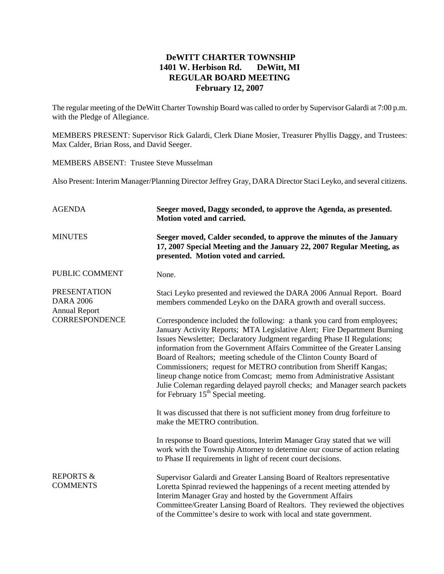## **DeWITT CHARTER TOWNSHIP 1401 W. Herbison Rd. DeWitt, MI REGULAR BOARD MEETING February 12, 2007**

The regular meeting of the DeWitt Charter Township Board was called to order by Supervisor Galardi at 7:00 p.m. with the Pledge of Allegiance.

MEMBERS PRESENT: Supervisor Rick Galardi, Clerk Diane Mosier, Treasurer Phyllis Daggy, and Trustees: Max Calder, Brian Ross, and David Seeger.

MEMBERS ABSENT: Trustee Steve Musselman

Also Present: Interim Manager/Planning Director Jeffrey Gray, DARA Director Staci Leyko, and several citizens.

| <b>AGENDA</b>                                                                            | Seeger moved, Daggy seconded, to approve the Agenda, as presented.<br>Motion voted and carried.                                                                                                                                                                                                                                                                                                                                                                                                                                                                                                                                                       |
|------------------------------------------------------------------------------------------|-------------------------------------------------------------------------------------------------------------------------------------------------------------------------------------------------------------------------------------------------------------------------------------------------------------------------------------------------------------------------------------------------------------------------------------------------------------------------------------------------------------------------------------------------------------------------------------------------------------------------------------------------------|
| <b>MINUTES</b>                                                                           | Seeger moved, Calder seconded, to approve the minutes of the January<br>17, 2007 Special Meeting and the January 22, 2007 Regular Meeting, as<br>presented. Motion voted and carried.                                                                                                                                                                                                                                                                                                                                                                                                                                                                 |
| PUBLIC COMMENT                                                                           | None.                                                                                                                                                                                                                                                                                                                                                                                                                                                                                                                                                                                                                                                 |
| <b>PRESENTATION</b><br><b>DARA 2006</b><br><b>Annual Report</b><br><b>CORRESPONDENCE</b> | Staci Leyko presented and reviewed the DARA 2006 Annual Report. Board<br>members commended Leyko on the DARA growth and overall success.                                                                                                                                                                                                                                                                                                                                                                                                                                                                                                              |
|                                                                                          | Correspondence included the following: a thank you card from employees;<br>January Activity Reports; MTA Legislative Alert; Fire Department Burning<br>Issues Newsletter; Declaratory Judgment regarding Phase II Regulations;<br>information from the Government Affairs Committee of the Greater Lansing<br>Board of Realtors; meeting schedule of the Clinton County Board of<br>Commissioners; request for METRO contribution from Sheriff Kangas;<br>lineup change notice from Comcast; memo from Administrative Assistant<br>Julie Coleman regarding delayed payroll checks; and Manager search packets<br>for February $15th$ Special meeting. |
|                                                                                          | It was discussed that there is not sufficient money from drug forfeiture to<br>make the METRO contribution.                                                                                                                                                                                                                                                                                                                                                                                                                                                                                                                                           |
|                                                                                          | In response to Board questions, Interim Manager Gray stated that we will<br>work with the Township Attorney to determine our course of action relating<br>to Phase II requirements in light of recent court decisions.                                                                                                                                                                                                                                                                                                                                                                                                                                |
| <b>REPORTS &amp;</b><br><b>COMMENTS</b>                                                  | Supervisor Galardi and Greater Lansing Board of Realtors representative<br>Loretta Spinrad reviewed the happenings of a recent meeting attended by<br>Interim Manager Gray and hosted by the Government Affairs<br>Committee/Greater Lansing Board of Realtors. They reviewed the objectives<br>of the Committee's desire to work with local and state government.                                                                                                                                                                                                                                                                                    |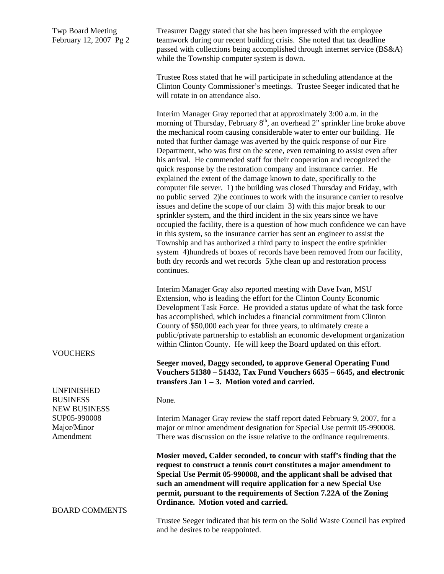Twp Board Meeting February 12, 2007 Pg 2

Treasurer Daggy stated that she has been impressed with the employee teamwork during our recent building crisis. She noted that tax deadline passed with collections being accomplished through internet service (BS&A) while the Township computer system is down.

Trustee Ross stated that he will participate in scheduling attendance at the Clinton County Commissioner's meetings. Trustee Seeger indicated that he will rotate in on attendance also.

Interim Manager Gray reported that at approximately 3:00 a.m. in the morning of Thursday, February  $8<sup>th</sup>$ , an overhead 2" sprinkler line broke above the mechanical room causing considerable water to enter our building. He noted that further damage was averted by the quick response of our Fire Department, who was first on the scene, even remaining to assist even after his arrival. He commended staff for their cooperation and recognized the quick response by the restoration company and insurance carrier. He explained the extent of the damage known to date, specifically to the computer file server. 1) the building was closed Thursday and Friday, with no public served 2)he continues to work with the insurance carrier to resolve issues and define the scope of our claim 3) with this major break to our sprinkler system, and the third incident in the six years since we have occupied the facility, there is a question of how much confidence we can have in this system, so the insurance carrier has sent an engineer to assist the Township and has authorized a third party to inspect the entire sprinkler system 4)hundreds of boxes of records have been removed from our facility, both dry records and wet records 5)the clean up and restoration process continues.

Interim Manager Gray also reported meeting with Dave Ivan, MSU Extension, who is leading the effort for the Clinton County Economic Development Task Force. He provided a status update of what the task force has accomplished, which includes a financial commitment from Clinton County of \$50,000 each year for three years, to ultimately create a public/private partnership to establish an economic development organization within Clinton County. He will keep the Board updated on this effort.

**Seeger moved, Daggy seconded, to approve General Operating Fund Vouchers 51380 – 51432, Tax Fund Vouchers 6635 – 6645, and electronic transfers Jan 1 – 3. Motion voted and carried.**

None.

Interim Manager Gray review the staff report dated February 9, 2007, for a major or minor amendment designation for Special Use permit 05-990008. There was discussion on the issue relative to the ordinance requirements.

**Mosier moved, Calder seconded, to concur with staff's finding that the request to construct a tennis court constitutes a major amendment to Special Use Permit 05-990008, and the applicant shall be advised that such an amendment will require application for a new Special Use permit, pursuant to the requirements of Section 7.22A of the Zoning Ordinance. Motion voted and carried.** 

Trustee Seeger indicated that his term on the Solid Waste Council has expired and he desires to be reappointed.

**VOUCHERS** 

UNFINISHED **BUSINESS** NEW BUSINESS SUP05-990008 Major/Minor Amendment

BOARD COMMENTS